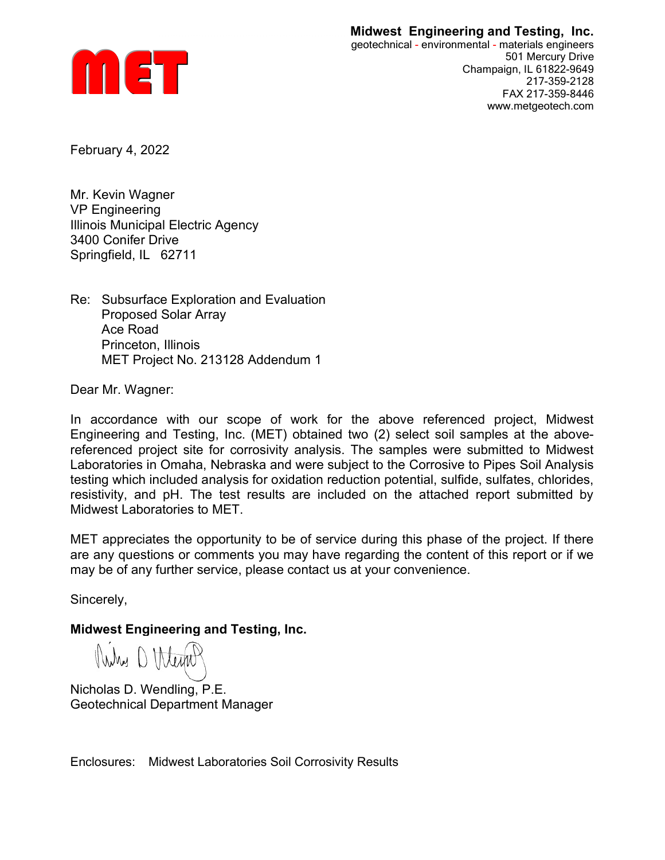## Midwest Engineering and Testing, Inc.



geotechnical - environmental - materials engineers 501 Mercury Drive Champaign, IL 61822-9649 217-359-2128 FAX 217-359-8446 www.metgeotech.com

February 4, 2022

Mr. Kevin Wagner VP Engineering Illinois Municipal Electric Agency 3400 Conifer Drive Springfield, IL 62711

Re: Subsurface Exploration and Evaluation Proposed Solar Array Ace Road Princeton, Illinois MET Project No. 213128 Addendum 1

Dear Mr. Wagner:

In accordance with our scope of work for the above referenced project, Midwest Engineering and Testing, Inc. (MET) obtained two (2) select soil samples at the abovereferenced project site for corrosivity analysis. The samples were submitted to Midwest Laboratories in Omaha, Nebraska and were subject to the Corrosive to Pipes Soil Analysis testing which included analysis for oxidation reduction potential, sulfide, sulfates, chlorides, resistivity, and pH. The test results are included on the attached report submitted by Midwest Laboratories to MET.

MET appreciates the opportunity to be of service during this phase of the project. If there are any questions or comments you may have regarding the content of this report or if we may be of any further service, please contact us at your convenience.

Sincerely,

Midwest Engineering and Testing, Inc.

Rikes D Weight

Nicholas D. Wendling, P.E. Geotechnical Department Manager

Enclosures: Midwest Laboratories Soil Corrosivity Results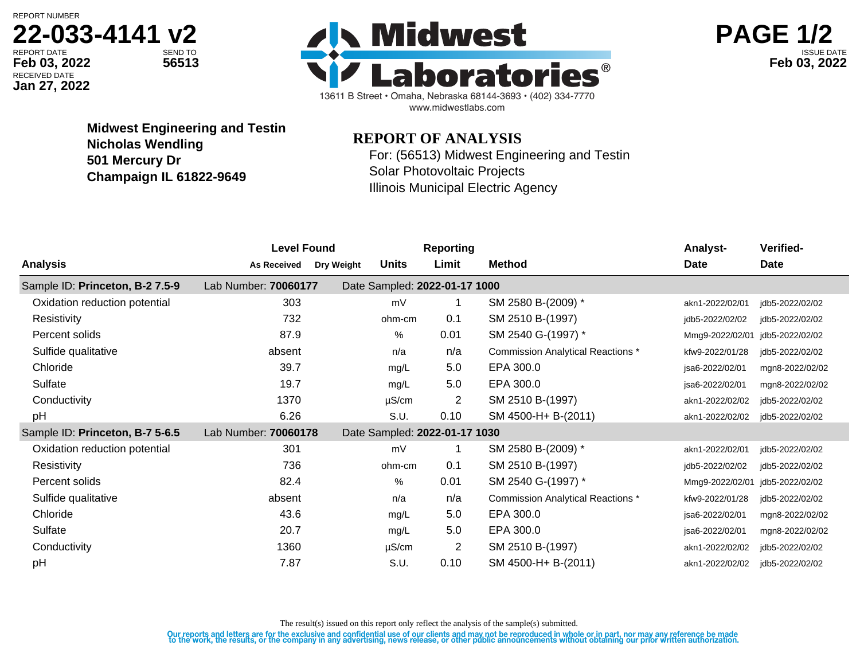REPORT NUMBER

## **22-033-4141 v2**

RECEIVED DATE **Jan 27, 2022**





**Midwest Engineering and Testin Nicholas Wendling 501 Mercury Dr Champaign IL 61822-9649**

## **REPORT OF ANALYSIS**

For: (56513) Midwest Engineering and Testin Solar Photovoltaic Projects Illinois Municipal Electric Agency

|                    | <b>Level Found</b> |                                              |                |                                          | Analyst-                                                       | Verified-       |
|--------------------|--------------------|----------------------------------------------|----------------|------------------------------------------|----------------------------------------------------------------|-----------------|
| <b>As Received</b> | <b>Dry Weight</b>  | <b>Units</b>                                 | Limit          | <b>Method</b>                            | Date                                                           | Date            |
|                    |                    |                                              |                |                                          |                                                                |                 |
| 303                |                    | mV                                           |                | SM 2580 B-(2009) *                       | akn1-2022/02/01                                                | jdb5-2022/02/02 |
| 732                |                    | ohm-cm                                       | 0.1            | SM 2510 B-(1997)                         | jdb5-2022/02/02                                                | idb5-2022/02/02 |
| 87.9               |                    | $\%$                                         | 0.01           | SM 2540 G-(1997) *                       | Mmg9-2022/02/01                                                | jdb5-2022/02/02 |
| absent             |                    | n/a                                          | n/a            | <b>Commission Analytical Reactions *</b> | kfw9-2022/01/28                                                | jdb5-2022/02/02 |
| 39.7               |                    | mg/L                                         | 5.0            | EPA 300.0                                | jsa6-2022/02/01                                                | mgn8-2022/02/02 |
| 19.7               |                    | mg/L                                         | 5.0            | EPA 300.0                                | jsa6-2022/02/01                                                | mgn8-2022/02/02 |
| 1370               |                    | $\mu$ S/cm                                   | $\overline{2}$ | SM 2510 B-(1997)                         | akn1-2022/02/02                                                | idb5-2022/02/02 |
| 6.26               |                    | S.U.                                         | 0.10           | SM 4500-H+ B-(2011)                      | akn1-2022/02/02                                                | jdb5-2022/02/02 |
|                    |                    |                                              |                |                                          |                                                                |                 |
| 301                |                    | mV                                           |                | SM 2580 B-(2009) *                       | akn1-2022/02/01                                                | jdb5-2022/02/02 |
| 736                |                    | ohm-cm                                       | 0.1            | SM 2510 B-(1997)                         | idb5-2022/02/02                                                | jdb5-2022/02/02 |
| 82.4               |                    | %                                            | 0.01           | SM 2540 G-(1997) *                       | Mmg9-2022/02/01                                                | jdb5-2022/02/02 |
| absent             |                    | n/a                                          | n/a            | <b>Commission Analytical Reactions *</b> | kfw9-2022/01/28                                                | jdb5-2022/02/02 |
| 43.6               |                    | mg/L                                         | 5.0            | EPA 300.0                                | isa6-2022/02/01                                                | mgn8-2022/02/02 |
| 20.7               |                    | mg/L                                         | 5.0            | EPA 300.0                                | jsa6-2022/02/01                                                | mgn8-2022/02/02 |
| 1360               |                    | $\mu$ S/cm                                   | 2              | SM 2510 B-(1997)                         | akn1-2022/02/02                                                | idb5-2022/02/02 |
| 7.87               |                    | S.U.                                         | 0.10           | SM 4500-H+ B-(2011)                      | akn1-2022/02/02                                                | idb5-2022/02/02 |
|                    |                    | Lab Number: 70060177<br>Lab Number: 70060178 |                | <b>Reporting</b>                         | Date Sampled: 2022-01-17 1000<br>Date Sampled: 2022-01-17 1030 |                 |

The result(s) issued on this report only reflect the analysis of the sample(s) submitted.

Our reports and letters are for the exclusive and confidential use of our clients and may not be reproduced in whole or in part, nor may any reference be made<br>to the work, the results, or the company in any advertising, ne